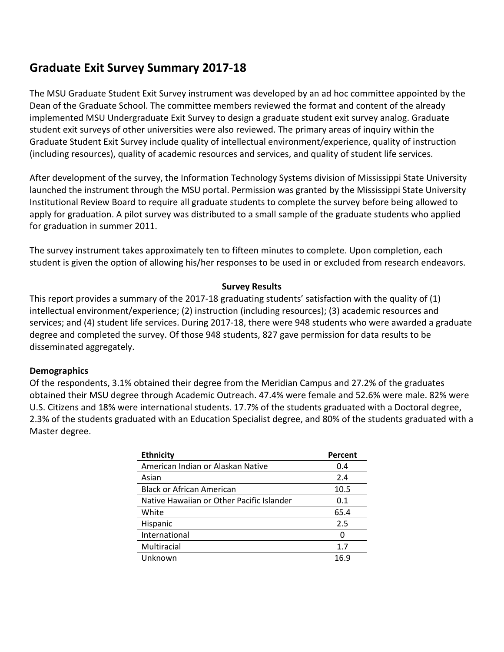# **Graduate Exit Survey Summary 2017-18**

The MSU Graduate Student Exit Survey instrument was developed by an ad hoc committee appointed by the Dean of the Graduate School. The committee members reviewed the format and content of the already implemented MSU Undergraduate Exit Survey to design a graduate student exit survey analog. Graduate student exit surveys of other universities were also reviewed. The primary areas of inquiry within the Graduate Student Exit Survey include quality of intellectual environment/experience, quality of instruction (including resources), quality of academic resources and services, and quality of student life services.

After development of the survey, the Information Technology Systems division of Mississippi State University launched the instrument through the MSU portal. Permission was granted by the Mississippi State University Institutional Review Board to require all graduate students to complete the survey before being allowed to apply for graduation. A pilot survey was distributed to a small sample of the graduate students who applied for graduation in summer 2011.

The survey instrument takes approximately ten to fifteen minutes to complete. Upon completion, each student is given the option of allowing his/her responses to be used in or excluded from research endeavors.

#### **Survey Results**

This report provides a summary of the 2017-18 graduating students' satisfaction with the quality of (1) intellectual environment/experience; (2) instruction (including resources); (3) academic resources and services; and (4) student life services. During 2017-18, there were 948 students who were awarded a graduate degree and completed the survey. Of those 948 students, 827 gave permission for data results to be disseminated aggregately.

#### **Demographics**

Of the respondents, 3.1% obtained their degree from the Meridian Campus and 27.2% of the graduates obtained their MSU degree through Academic Outreach. 47.4% were female and 52.6% were male. 82% were U.S. Citizens and 18% were international students. 17.7% of the students graduated with a Doctoral degree, 2.3% of the students graduated with an Education Specialist degree, and 80% of the students graduated with a Master degree.

| <b>Ethnicity</b>                          | Percent |
|-------------------------------------------|---------|
| American Indian or Alaskan Native         | 0.4     |
| Asian                                     | 2.4     |
| <b>Black or African American</b>          | 10.5    |
| Native Hawaiian or Other Pacific Islander | 0.1     |
| White                                     | 65.4    |
| <b>Hispanic</b>                           | 2.5     |
| International                             | 0       |
| Multiracial                               | 1.7     |
| Unknown                                   | 16.9    |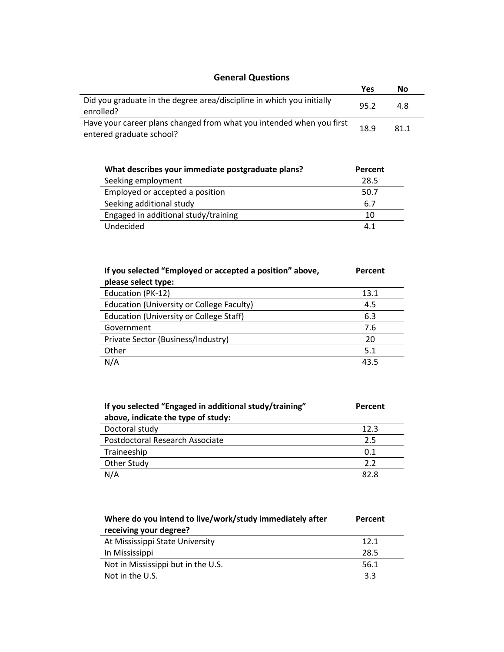#### **General Questions**

| <b>PETIBLE OF LIGHT</b>                                                                          |      |      |  |  |  |
|--------------------------------------------------------------------------------------------------|------|------|--|--|--|
|                                                                                                  | Yes  | No   |  |  |  |
| Did you graduate in the degree area/discipline in which you initially<br>enrolled?               | 95.2 | 4.8  |  |  |  |
| Have your career plans changed from what you intended when you first<br>entered graduate school? | 18.9 | 81.1 |  |  |  |

| What describes your immediate postgraduate plans? | Percent |
|---------------------------------------------------|---------|
| Seeking employment                                | 28.5    |
| Employed or accepted a position                   | 50.7    |
| Seeking additional study                          | 6.7     |
| Engaged in additional study/training              | 10      |
| Undecided                                         | 4.1     |

| If you selected "Employed or accepted a position" above, | Percent |
|----------------------------------------------------------|---------|
| please select type:                                      |         |
| Education (PK-12)                                        | 13.1    |
| Education (University or College Faculty)                | 4.5     |
| Education (University or College Staff)                  | 6.3     |
| Government                                               | 7.6     |
| Private Sector (Business/Industry)                       | 20      |
| Other                                                    | 5.1     |
| N/A                                                      | 43.5    |

| If you selected "Engaged in additional study/training" | Percent |
|--------------------------------------------------------|---------|
| above, indicate the type of study:                     |         |
| Doctoral study                                         | 12.3    |
| Postdoctoral Research Associate                        | 2.5     |
| Traineeship                                            | 0.1     |
| Other Study                                            | 2.2     |
| N/A                                                    | 82.8    |

| Where do you intend to live/work/study immediately after<br>receiving your degree? | Percent |
|------------------------------------------------------------------------------------|---------|
| At Mississippi State University                                                    | 12.1    |
| In Mississippi                                                                     | 28.5    |
| Not in Mississippi but in the U.S.                                                 | 56.1    |
| Not in the U.S.                                                                    | 3.3     |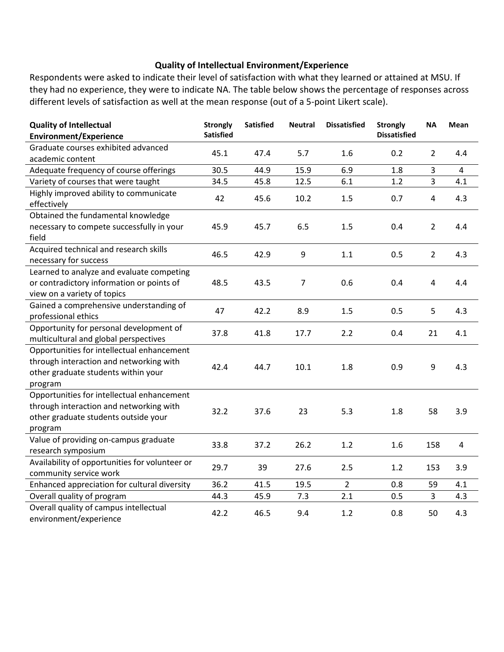#### **Quality of Intellectual Environment/Experience**

Respondents were asked to indicate their level of satisfaction with what they learned or attained at MSU. If they had no experience, they were to indicate NA. The table below shows the percentage of responses across different levels of satisfaction as well at the mean response (out of a 5-point Likert scale).

| <b>Quality of Intellectual</b>                 | <b>Strongly</b>  | <b>Satisfied</b> | <b>Neutral</b> | <b>Dissatisfied</b> | <b>Strongly</b>     | <b>NA</b>      | Mean |
|------------------------------------------------|------------------|------------------|----------------|---------------------|---------------------|----------------|------|
| <b>Environment/Experience</b>                  | <b>Satisfied</b> |                  |                |                     | <b>Dissatisfied</b> |                |      |
| Graduate courses exhibited advanced            | 45.1             | 47.4             | 5.7            | 1.6                 | 0.2                 | $\overline{2}$ | 4.4  |
| academic content                               |                  |                  |                |                     |                     |                |      |
| Adequate frequency of course offerings         | 30.5             | 44.9             | 15.9           | 6.9                 | 1.8                 | 3              | 4    |
| Variety of courses that were taught            | 34.5             | 45.8             | 12.5           | 6.1                 | 1.2                 | $\overline{3}$ | 4.1  |
| Highly improved ability to communicate         | 42               | 45.6             | 10.2           | 1.5                 | 0.7                 | $\overline{4}$ | 4.3  |
| effectively                                    |                  |                  |                |                     |                     |                |      |
| Obtained the fundamental knowledge             |                  |                  |                |                     |                     |                |      |
| necessary to compete successfully in your      | 45.9             | 45.7             | 6.5            | 1.5                 | 0.4                 | $\overline{2}$ | 4.4  |
| field                                          |                  |                  |                |                     |                     |                |      |
| Acquired technical and research skills         | 46.5             | 42.9             | 9              | 1.1                 | 0.5                 | $\overline{2}$ | 4.3  |
| necessary for success                          |                  |                  |                |                     |                     |                |      |
| Learned to analyze and evaluate competing      |                  |                  |                |                     |                     |                |      |
| or contradictory information or points of      | 48.5             | 43.5             | $\overline{7}$ | 0.6                 | 0.4                 | 4              | 4.4  |
| view on a variety of topics                    |                  |                  |                |                     |                     |                |      |
| Gained a comprehensive understanding of        | 47               | 42.2             | 8.9            | 1.5                 | 0.5                 | 5              | 4.3  |
| professional ethics                            |                  |                  |                |                     |                     |                |      |
| Opportunity for personal development of        | 37.8             | 41.8             | 17.7           | 2.2                 | 0.4                 | 21             | 4.1  |
| multicultural and global perspectives          |                  |                  |                |                     |                     |                |      |
| Opportunities for intellectual enhancement     |                  |                  |                |                     |                     |                |      |
| through interaction and networking with        | 42.4             | 44.7             | 10.1           | 1.8                 | 0.9                 | 9              | 4.3  |
| other graduate students within your            |                  |                  |                |                     |                     |                |      |
| program                                        |                  |                  |                |                     |                     |                |      |
| Opportunities for intellectual enhancement     |                  |                  |                |                     |                     |                |      |
| through interaction and networking with        | 32.2             | 37.6             | 23             | 5.3                 | 1.8                 | 58             | 3.9  |
| other graduate students outside your           |                  |                  |                |                     |                     |                |      |
| program                                        |                  |                  |                |                     |                     |                |      |
| Value of providing on-campus graduate          | 33.8             | 37.2             | 26.2           | 1.2                 | 1.6                 | 158            | 4    |
| research symposium                             |                  |                  |                |                     |                     |                |      |
| Availability of opportunities for volunteer or | 29.7             | 39               | 27.6           | 2.5                 | 1.2                 | 153            | 3.9  |
| community service work                         |                  |                  |                |                     |                     |                |      |
| Enhanced appreciation for cultural diversity   | 36.2             | 41.5             | 19.5           | $\overline{2}$      | 0.8                 | 59             | 4.1  |
| Overall quality of program                     | 44.3             | 45.9             | 7.3            | 2.1                 | 0.5                 | 3              | 4.3  |
| Overall quality of campus intellectual         | 42.2             | 46.5             | 9.4            | 1.2                 | 0.8                 | 50             |      |
| environment/experience                         |                  |                  |                |                     |                     |                | 4.3  |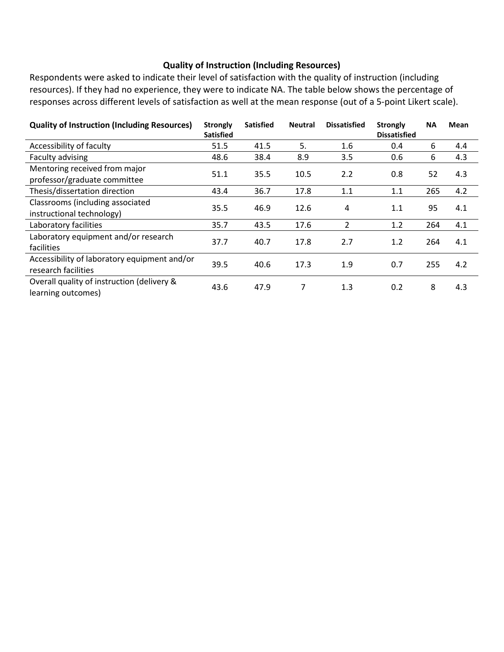### **Quality of Instruction (Including Resources)**

Respondents were asked to indicate their level of satisfaction with the quality of instruction (including resources). If they had no experience, they were to indicate NA. The table below shows the percentage of responses across different levels of satisfaction as well at the mean response (out of a 5-point Likert scale).

| <b>Quality of Instruction (Including Resources)</b>                 | <b>Strongly</b><br><b>Satisfied</b> | <b>Satisfied</b> | <b>Neutral</b> | <b>Dissatisfied</b> | <b>Strongly</b><br><b>Dissatisfied</b> | <b>NA</b> | <b>Mean</b> |
|---------------------------------------------------------------------|-------------------------------------|------------------|----------------|---------------------|----------------------------------------|-----------|-------------|
| Accessibility of faculty                                            | 51.5                                | 41.5             | 5.             | 1.6                 | 0.4                                    | 6         | 4.4         |
| Faculty advising                                                    | 48.6                                | 38.4             | 8.9            | 3.5                 | 0.6                                    | 6         | 4.3         |
| Mentoring received from major<br>professor/graduate committee       | 51.1                                | 35.5             | 10.5           | 2.2                 | 0.8                                    | 52        | 4.3         |
| Thesis/dissertation direction                                       | 43.4                                | 36.7             | 17.8           | 1.1                 | 1.1                                    | 265       | 4.2         |
| Classrooms (including associated<br>instructional technology)       | 35.5                                | 46.9             | 12.6           | 4                   | 1.1                                    | 95        | 4.1         |
| Laboratory facilities                                               | 35.7                                | 43.5             | 17.6           | 2                   | 1.2                                    | 264       | 4.1         |
| Laboratory equipment and/or research<br>facilities                  | 37.7                                | 40.7             | 17.8           | 2.7                 | 1.2                                    | 264       | 4.1         |
| Accessibility of laboratory equipment and/or<br>research facilities | 39.5                                | 40.6             | 17.3           | 1.9                 | 0.7                                    | 255       | 4.2         |
| Overall quality of instruction (delivery &<br>learning outcomes)    | 43.6                                | 47.9             | 7              | 1.3                 | 0.2                                    | 8         | 4.3         |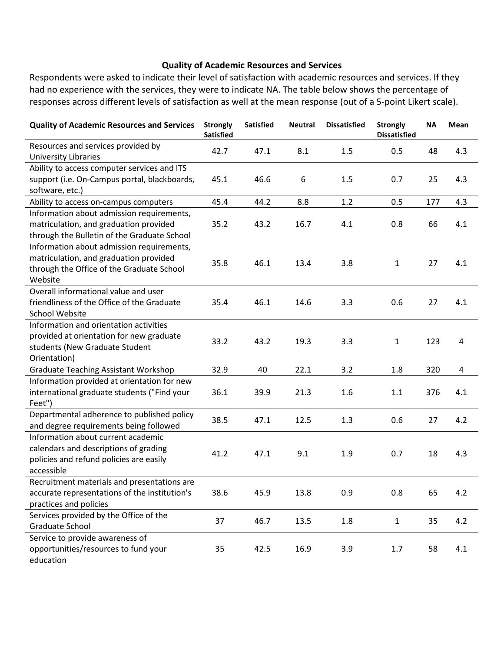#### **Quality of Academic Resources and Services**

Respondents were asked to indicate their level of satisfaction with academic resources and services. If they had no experience with the services, they were to indicate NA. The table below shows the percentage of responses across different levels of satisfaction as well at the mean response (out of a 5-point Likert scale).

| <b>Quality of Academic Resources and Services</b> | <b>Strongly</b><br><b>Satisfied</b> | <b>Satisfied</b> | <b>Neutral</b> | <b>Dissatisfied</b> | <b>Strongly</b><br><b>Dissatisfied</b> | <b>NA</b> | Mean           |
|---------------------------------------------------|-------------------------------------|------------------|----------------|---------------------|----------------------------------------|-----------|----------------|
| Resources and services provided by                | 42.7                                | 47.1             | 8.1            | 1.5                 | 0.5                                    | 48        | 4.3            |
| <b>University Libraries</b>                       |                                     |                  |                |                     |                                        |           |                |
| Ability to access computer services and ITS       |                                     |                  |                |                     |                                        |           |                |
| support (i.e. On-Campus portal, blackboards,      | 45.1                                | 46.6             | 6              | 1.5                 | 0.7                                    | 25        | 4.3            |
| software, etc.)                                   |                                     |                  |                |                     |                                        |           |                |
| Ability to access on-campus computers             | 45.4                                | 44.2             | 8.8            | 1.2                 | 0.5                                    | 177       | 4.3            |
| Information about admission requirements,         |                                     |                  |                |                     |                                        |           |                |
| matriculation, and graduation provided            | 35.2                                | 43.2             | 16.7           | 4.1                 | 0.8                                    | 66        | 4.1            |
| through the Bulletin of the Graduate School       |                                     |                  |                |                     |                                        |           |                |
| Information about admission requirements,         |                                     |                  |                |                     |                                        |           |                |
| matriculation, and graduation provided            | 35.8                                | 46.1             | 13.4           | 3.8                 | $\mathbf{1}$                           | 27        | 4.1            |
| through the Office of the Graduate School         |                                     |                  |                |                     |                                        |           |                |
| Website                                           |                                     |                  |                |                     |                                        |           |                |
| Overall informational value and user              |                                     |                  |                |                     |                                        |           |                |
| friendliness of the Office of the Graduate        | 35.4                                | 46.1             | 14.6           | 3.3                 | 0.6                                    | 27        | 4.1            |
| <b>School Website</b>                             |                                     |                  |                |                     |                                        |           |                |
| Information and orientation activities            |                                     |                  |                |                     |                                        |           |                |
| provided at orientation for new graduate          | 33.2                                | 43.2             | 19.3           | 3.3                 | $\mathbf{1}$                           | 123       | 4              |
| students (New Graduate Student                    |                                     |                  |                |                     |                                        |           |                |
| Orientation)                                      |                                     |                  |                |                     |                                        |           |                |
| <b>Graduate Teaching Assistant Workshop</b>       | 32.9                                | 40               | 22.1           | 3.2                 | 1.8                                    | 320       | $\overline{4}$ |
| Information provided at orientation for new       |                                     |                  |                |                     |                                        |           |                |
| international graduate students ("Find your       | 36.1                                | 39.9             | 21.3           | 1.6                 | 1.1                                    | 376       | 4.1            |
| Feet")                                            |                                     |                  |                |                     |                                        |           |                |
| Departmental adherence to published policy        | 38.5                                | 47.1             | 12.5           | 1.3                 | 0.6                                    | 27        | 4.2            |
| and degree requirements being followed            |                                     |                  |                |                     |                                        |           |                |
| Information about current academic                |                                     |                  |                |                     |                                        |           |                |
| calendars and descriptions of grading             | 41.2                                | 47.1             | 9.1            | 1.9                 | 0.7                                    | 18        | 4.3            |
| policies and refund policies are easily           |                                     |                  |                |                     |                                        |           |                |
| accessible                                        |                                     |                  |                |                     |                                        |           |                |
| Recruitment materials and presentations are       |                                     |                  |                |                     |                                        |           |                |
| accurate representations of the institution's     | 38.6                                | 45.9             | 13.8           | 0.9                 | 0.8                                    | 65        | 4.2            |
| practices and policies                            |                                     |                  |                |                     |                                        |           |                |
| Services provided by the Office of the            | 37                                  | 46.7             | 13.5           | 1.8                 | $\mathbf{1}$                           | 35        | 4.2            |
| Graduate School                                   |                                     |                  |                |                     |                                        |           |                |
| Service to provide awareness of                   |                                     |                  |                |                     |                                        |           |                |
| opportunities/resources to fund your              | 35                                  | 42.5             | 16.9           | 3.9                 | 1.7                                    | 58        | 4.1            |
| education                                         |                                     |                  |                |                     |                                        |           |                |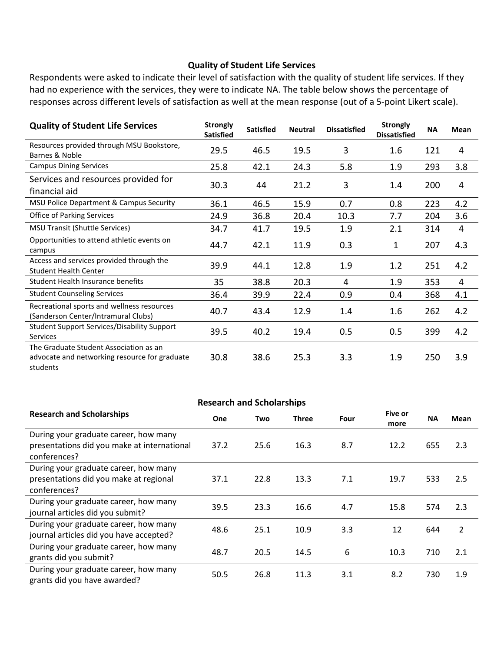#### **Quality of Student Life Services**

Respondents were asked to indicate their level of satisfaction with the quality of student life services. If they had no experience with the services, they were to indicate NA. The table below shows the percentage of responses across different levels of satisfaction as well at the mean response (out of a 5-point Likert scale).

| <b>Quality of Student Life Services</b>                                                             | <b>Strongly</b><br><b>Satisfied</b> | <b>Satisfied</b> | <b>Neutral</b> | <b>Dissatisfied</b> | <b>Strongly</b><br><b>Dissatisfied</b> | <b>NA</b> | <b>Mean</b> |
|-----------------------------------------------------------------------------------------------------|-------------------------------------|------------------|----------------|---------------------|----------------------------------------|-----------|-------------|
| Resources provided through MSU Bookstore,<br>Barnes & Noble                                         | 29.5                                | 46.5             | 19.5           | 3                   | 1.6                                    | 121       | 4           |
| <b>Campus Dining Services</b>                                                                       | 25.8                                | 42.1             | 24.3           | 5.8                 | 1.9                                    | 293       | 3.8         |
| Services and resources provided for<br>financial aid                                                | 30.3                                | 44               | 21.2           | 3                   | 1.4                                    | 200       | 4           |
| MSU Police Department & Campus Security                                                             | 36.1                                | 46.5             | 15.9           | 0.7                 | 0.8                                    | 223       | 4.2         |
| <b>Office of Parking Services</b>                                                                   | 24.9                                | 36.8             | 20.4           | 10.3                | 7.7                                    | 204       | 3.6         |
| <b>MSU Transit (Shuttle Services)</b>                                                               | 34.7                                | 41.7             | 19.5           | 1.9                 | 2.1                                    | 314       | 4           |
| Opportunities to attend athletic events on<br>campus                                                | 44.7                                | 42.1             | 11.9           | 0.3                 | 1                                      | 207       | 4.3         |
| Access and services provided through the<br><b>Student Health Center</b>                            | 39.9                                | 44.1             | 12.8           | 1.9                 | 1.2                                    | 251       | 4.2         |
| Student Health Insurance benefits                                                                   | 35                                  | 38.8             | 20.3           | 4                   | 1.9                                    | 353       | 4           |
| <b>Student Counseling Services</b>                                                                  | 36.4                                | 39.9             | 22.4           | 0.9                 | 0.4                                    | 368       | 4.1         |
| Recreational sports and wellness resources<br>(Sanderson Center/Intramural Clubs)                   | 40.7                                | 43.4             | 12.9           | 1.4                 | 1.6                                    | 262       | 4.2         |
| <b>Student Support Services/Disability Support</b><br><b>Services</b>                               | 39.5                                | 40.2             | 19.4           | 0.5                 | 0.5                                    | 399       | 4.2         |
| The Graduate Student Association as an<br>advocate and networking resource for graduate<br>students | 30.8                                | 38.6             | 25.3           | 3.3                 | 1.9                                    | 250       | 3.9         |

| <b>Research and Scholarships</b>                                                                     |      |      |       |      |                 |           |      |
|------------------------------------------------------------------------------------------------------|------|------|-------|------|-----------------|-----------|------|
| <b>Research and Scholarships</b>                                                                     | One  | Two  | Three | Four | Five or<br>more | <b>NA</b> | Mean |
| During your graduate career, how many<br>presentations did you make at international<br>conferences? | 37.2 | 25.6 | 16.3  | 8.7  | 12.2            | 655       | 2.3  |
| During your graduate career, how many<br>presentations did you make at regional<br>conferences?      | 37.1 | 22.8 | 13.3  | 7.1  | 19.7            | 533       | 2.5  |
| During your graduate career, how many<br>journal articles did you submit?                            | 39.5 | 23.3 | 16.6  | 4.7  | 15.8            | 574       | 2.3  |
| During your graduate career, how many<br>journal articles did you have accepted?                     | 48.6 | 25.1 | 10.9  | 3.3  | 12              | 644       | 2    |
| During your graduate career, how many<br>grants did you submit?                                      | 48.7 | 20.5 | 14.5  | 6    | 10.3            | 710       | 2.1  |
| During your graduate career, how many<br>grants did you have awarded?                                | 50.5 | 26.8 | 11.3  | 3.1  | 8.2             | 730       | 1.9  |